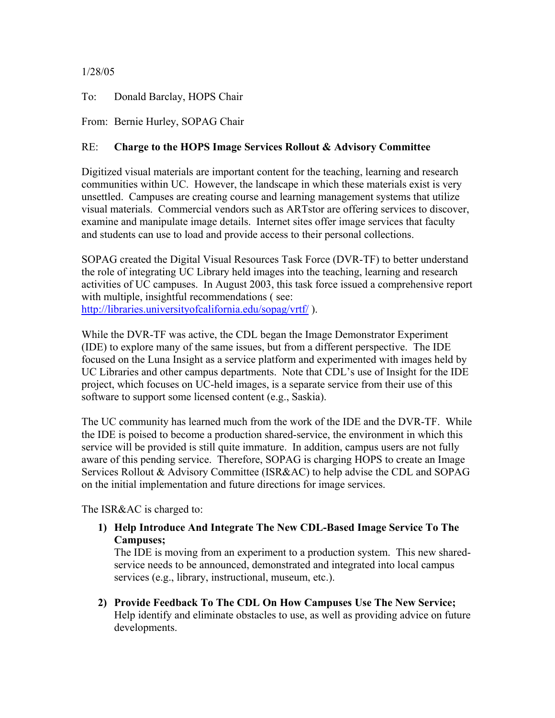## 1/28/05

To: Donald Barclay, HOPS Chair

From: Bernie Hurley, SOPAG Chair

## RE: **Charge to the HOPS Image Services Rollout & Advisory Committee**

Digitized visual materials are important content for the teaching, learning and research communities within UC. However, the landscape in which these materials exist is very unsettled. Campuses are creating course and learning management systems that utilize visual materials. Commercial vendors such as ARTstor are offering services to discover, examine and manipulate image details. Internet sites offer image services that faculty and students can use to load and provide access to their personal collections.

SOPAG created the Digital Visual Resources Task Force (DVR-TF) to better understand the role of integrating UC Library held images into the teaching, learning and research activities of UC campuses. In August 2003, this task force issued a comprehensive report with multiple, insightful recommendations (see: <http://libraries.universityofcalifornia.edu/sopag/vrtf/>).

While the DVR-TF was active, the CDL began the Image Demonstrator Experiment (IDE) to explore many of the same issues, but from a different perspective. The IDE focused on the Luna Insight as a service platform and experimented with images held by UC Libraries and other campus departments. Note that CDL's use of Insight for the IDE project, which focuses on UC-held images, is a separate service from their use of this software to support some licensed content (e.g., Saskia).

The UC community has learned much from the work of the IDE and the DVR-TF. While the IDE is poised to become a production shared-service, the environment in which this service will be provided is still quite immature. In addition, campus users are not fully aware of this pending service. Therefore, SOPAG is charging HOPS to create an Image Services Rollout & Advisory Committee (ISR&AC) to help advise the CDL and SOPAG on the initial implementation and future directions for image services.

The ISR&AC is charged to:

**1) Help Introduce And Integrate The New CDL-Based Image Service To The Campuses;**

The IDE is moving from an experiment to a production system. This new sharedservice needs to be announced, demonstrated and integrated into local campus services (e.g., library, instructional, museum, etc.).

**2) Provide Feedback To The CDL On How Campuses Use The New Service;**  Help identify and eliminate obstacles to use, as well as providing advice on future developments.